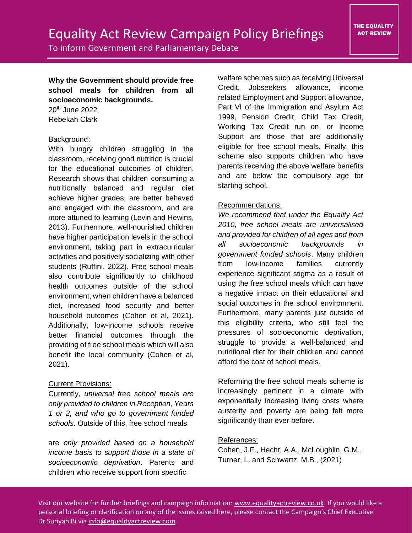To inform Government and Parliamentary Debate

**Why the Government should provide free school meals for children from all socioeconomic backgrounds.**

20th June 2022 Rebekah Clark

## Background:

With hungry children struggling in the classroom, receiving good nutrition is crucial for the educational outcomes of children. Research shows that children consuming a nutritionally balanced and regular diet achieve higher grades, are better behaved and engaged with the classroom, and are more attuned to learning (Levin and Hewins, 2013). Furthermore, well-nourished children have higher participation levels in the school environment, taking part in extracurricular activities and positively socializing with other students (Ruffini, 2022). Free school meals also contribute significantly to childhood health outcomes outside of the school environment, when children have a balanced diet, increased food security and better household outcomes (Cohen et al, 2021). Additionally, low-income schools receive better financial outcomes through the providing of free school meals which will also benefit the local community (Cohen et al, 2021).

## Current Provisions:

Currently, *universal free school meals are only provided to children in Reception, Years 1 or 2, and who go to government funded schools*. Outside of this, free school meals

are *only provided based on a household income basis to support those in a state of socioeconomic deprivation*. Parents and children who receive support from specific

welfare schemes such as receiving Universal Credit, Jobseekers allowance, income related Employment and Support allowance, Part VI of the Immigration and Asylum Act 1999, Pension Credit, Child Tax Credit, Working Tax Credit run on, or Income Support are those that are additionally eligible for free school meals. Finally, this scheme also supports children who have parents receiving the above welfare benefits and are below the compulsory age for starting school.

## Recommendations:

*We recommend that under the Equality Act 2010, free school meals are universalised and provided for children of all ages and from all socioeconomic backgrounds in government funded schools*. Many children from low-income families currently experience significant stigma as a result of using the free school meals which can have a negative impact on their educational and social outcomes in the school environment. Furthermore, many parents just outside of this eligibility criteria, who still feel the pressures of socioeconomic deprivation, struggle to provide a well-balanced and nutritional diet for their children and cannot afford the cost of school meals.

Reforming the free school meals scheme is increasingly pertinent in a climate with exponentially increasing living costs where austerity and poverty are being felt more significantly than ever before.

## References:

Cohen, J.F., Hecht, A.A., McLoughlin, G.M., Turner, L. and Schwartz, M.B., (2021)

Visit our website for further briefings and campaign information: [www.equalityactreview.co.uk.](http://www.equalityactreview.co.uk/) If you would like a personal briefing or clarification on any of the issues raised here, please contact the Campaign's Chief Executive Dr Suriyah Bi via [info@equalityactreview.com.](mailto:info@equalityactreview.com)